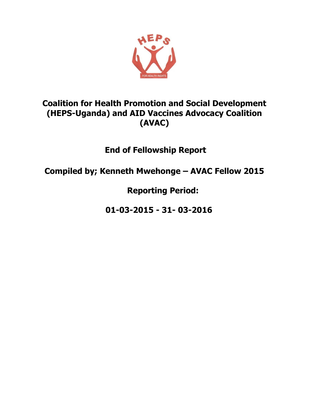

# **Coalition for Health Promotion and Social Development (HEPS-Uganda) and AID Vaccines Advocacy Coalition (AVAC)**

**End of Fellowship Report** 

**Compiled by; Kenneth Mwehonge – AVAC Fellow 2015**

**Reporting Period:**

**01-03-2015 - 31- 03-2016**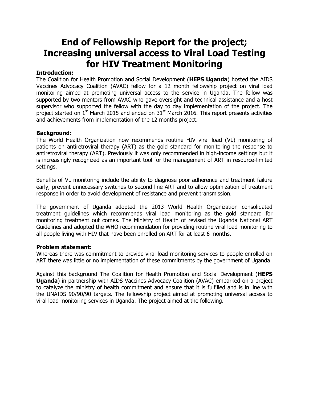# **End of Fellowship Report for the project; Increasing universal access to Viral Load Testing for HIV Treatment Monitoring**

# **Introduction:**

The Coalition for Health Promotion and Social Development (**HEPS Uganda**) hosted the AIDS Vaccines Advocacy Coalition (AVAC) fellow for a 12 month fellowship project on viral load monitoring aimed at promoting universal access to the service in Uganda. The fellow was supported by two mentors from AVAC who gave oversight and technical assistance and a host supervisor who supported the fellow with the day to day implementation of the project. The project started on  $1<sup>st</sup>$  March 2015 and ended on  $31<sup>st</sup>$  March 2016. This report presents activities and achievements from implementation of the 12 months project.

# **Background:**

The World Health Organization now recommends routine HIV viral load (VL) monitoring of patients on antiretroviral therapy (ART) as the gold standard for monitoring the response to antiretroviral therapy (ART). Previously it was only recommended in high-income settings but it is increasingly recognized as an important tool for the management of ART in resource-limited settings.

Benefits of VL monitoring include the ability to diagnose poor adherence and treatment failure early, prevent unnecessary switches to second line ART and to allow optimization of treatment response in order to avoid development of resistance and prevent transmission.

The government of Uganda adopted the 2013 World Health Organization consolidated treatment guidelines which recommends viral load monitoring as the gold standard for monitoring treatment out comes. The Ministry of Health of revised the Uganda National ART Guidelines and adopted the WHO recommendation for providing routine viral load monitoring to all people living with HIV that have been enrolled on ART for at least 6 months.

# **Problem statement:**

Whereas there was commitment to provide viral load monitoring services to people enrolled on ART there was little or no implementation of these commitments by the government of Uganda

Against this background The Coalition for Health Promotion and Social Development (**HEPS Uganda**) in partnership with AIDS Vaccines Advocacy Coalition (AVAC) embarked on a project to catalyze the ministry of health commitment and ensure that it is fulfilled and is in line with the UNAIDS 90/90/90 targets. The fellowship project aimed at promoting universal access to viral load monitoring services in Uganda. The project aimed at the following.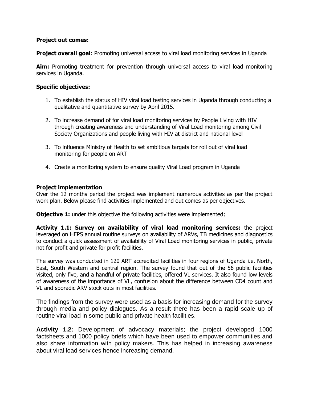# **Project out comes:**

**Project overall goal:** Promoting universal access to viral load monitoring services in Uganda

**Aim:** Promoting treatment for prevention through universal access to viral load monitoring services in Uganda.

# **Specific objectives:**

- 1. To establish the status of HIV viral load testing services in Uganda through conducting a qualitative and quantitative survey by April 2015.
- 2. To increase demand of for viral load monitoring services by People Living with HIV through creating awareness and understanding of Viral Load monitoring among Civil Society Organizations and people living with HIV at district and national level
- 3. To influence Ministry of Health to set ambitious targets for roll out of viral load monitoring for people on ART
- 4. Create a monitoring system to ensure quality Viral Load program in Uganda

# **Project implementation**

Over the 12 months period the project was implement numerous activities as per the project work plan. Below please find activities implemented and out comes as per objectives.

**Objective 1:** under this objective the following activities were implemented;

**Activity 1.1: Survey on availability of viral load monitoring services:** the project leveraged on HEPS annual routine surveys on availability of ARVs, TB medicines and diagnostics to conduct a quick assessment of availability of Viral Load monitoring services in public, private not for profit and private for profit facilities.

The survey was conducted in 120 ART accredited facilities in four regions of Uganda i.e. North, East, South Western and central region. The survey found that out of the 56 public facilities visited, only five, and a handful of private facilities, offered VL services. It also found low levels of awareness of the importance of VL, confusion about the difference between CD4 count and VL and sporadic ARV stock outs in most facilities.

The findings from the survey were used as a basis for increasing demand for the survey through media and policy dialogues. As a result there has been a rapid scale up of routine viral load in some public and private health facilities.

**Activity 1.2:** Development of advocacy materials; the project developed 1000 factsheets and 1000 policy briefs which have been used to empower communities and also share information with policy makers. This has helped in increasing awareness about viral load services hence increasing demand.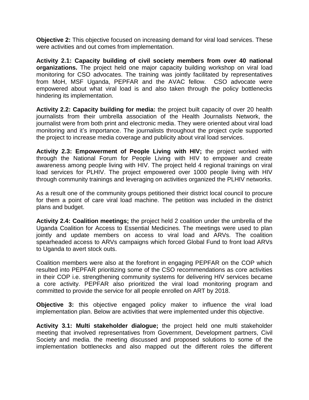**Objective 2:** This objective focused on increasing demand for viral load services. These were activities and out comes from implementation.

**Activity 2.1: Capacity building of civil society members from over 40 national organizations.** The project held one major capacity building workshop on viral load monitoring for CSO advocates. The training was jointly facilitated by representatives from MoH, MSF Uganda, PEPFAR and the AVAC fellow. CSO advocate were empowered about what viral load is and also taken through the policy bottlenecks hindering its implementation.

**Activity 2.2: Capacity building for media:** the project built capacity of over 20 health journalists from their umbrella association of the Health Journalists Network, the journalist were from both print and electronic media. They were oriented about viral load monitoring and it's importance. The journalists throughout the project cycle supported the project to increase media coverage and publicity about viral load services.

**Activity 2.3: Empowerment of People Living with HIV;** the project worked with through the National Forum for People Living with HIV to empower and create awareness among people living with HIV. The project held 4 regional trainings on viral load services for PLHIV. The project empowered over 1000 people living with HIV through community trainings and leveraging on activities organized the PLHIV networks.

As a result one of the community groups petitioned their district local council to procure for them a point of care viral load machine. The petition was included in the district plans and budget.

**Activity 2.4: Coalition meetings;** the project held 2 coalition under the umbrella of the Uganda Coalition for Access to Essential Medicines. The meetings were used to plan jointly and update members on access to viral load and ARVs. The coalition spearheaded access to ARVs campaigns which forced Global Fund to front load ARVs to Uganda to avert stock outs.

Coalition members were also at the forefront in engaging PEPFAR on the COP which resulted into PEPFAR prioritizing some of the CSO recommendations as core activities in their COP i.e. strengthening community systems for delivering HIV services became a core activity. PEPFAR also prioritized the viral load monitoring program and committed to provide the service for all people enrolled on ART by 2018.

**Objective 3:** this objective engaged policy maker to influence the viral load implementation plan. Below are activities that were implemented under this objective.

**Activity 3.1: Multi stakeholder dialogue;** the project held one multi stakeholder meeting that involved representatives from Government, Development partners, Civil Society and media. the meeting discussed and proposed solutions to some of the implementation bottlenecks and also mapped out the different roles the different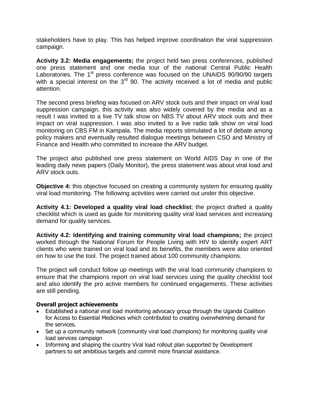stakeholders have to play. This has helped improve coordination the viral suppression campaign.

**Activity 3.2: Media engagements;** the project held two press conferences, published one press statement and one media tour of the national Central Public Health Laboratories. The 1<sup>st</sup> press conference was focused on the UNAIDS 90/90/90 targets with a special interest on the 3<sup>rd</sup> 90. The activity received a lot of media and public attention.

The second press briefing was focused on ARV stock outs and their impact on viral load suppression campaign, this activity was also widely covered by the media and as a result I was invited to a live TV talk show on NBS TV about ARV stock outs and their impact on viral suppression. I was also invited to a live radio talk show on viral load monitoring on CBS FM in Kampala. The media reports stimulated a lot of debate among policy makers and eventually resulted dialogue meetings between CSO and Ministry of Finance and Health who committed to increase the ARV budget.

The project also published one press statement on World AIDS Day in one of the leading daily news papers (Daily Monitor), the press statement was about viral load and ARV stock outs.

**Objective 4:** this objective focused on creating a community system for ensuring quality viral load monitoring. The following activities were carried out under this objective.

**Activity 4.1: Developed a quality viral load checklist**; the project drafted a quality checklist which is used as guide for monitoring quality viral load services and increasing demand for quality services.

**Activity 4.2: Identifying and training community viral load champions;** the project worked through the National Forum for People Living with HIV to identify expert ART clients who were trained on viral load and its benefits, the members were also oriented on how to use the tool. The project trained about 100 community champions.

The project will conduct follow up meetings with the viral load community champions to ensure that the champions report on viral load services using the quality checklist tool and also identify the pro active members for continued engagements. These activities are still pending.

# **Overall project achievements**

- Established a national viral load monitoring advocacy group through the Uganda Coalition for Access to Essential Medicines which contributed to creating overwhelming demand for the services.
- Set up a community network (community viral load champions) for monitoring quality viral load services campaign
- Informing and shaping the country Viral load rollout plan supported by Development partners to set ambitious targets and commit more financial assistance.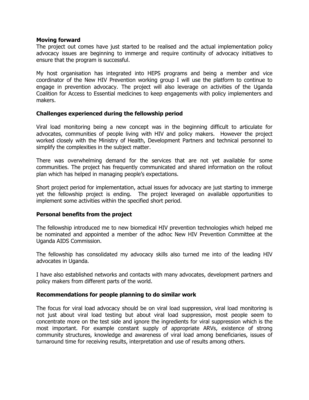#### **Moving forward**

The project out comes have just started to be realised and the actual implementation policy advocacy issues are beginning to immerge and require continuity of advocacy initiatives to ensure that the program is successful.

My host organisation has integrated into HEPS programs and being a member and vice coordinator of the New HIV Prevention working group I will use the platform to continue to engage in prevention advocacy. The project will also leverage on activities of the Uganda Coalition for Access to Essential medicines to keep engagements with policy implementers and makers.

# **Challenges experienced during the fellowship period**

Viral load monitoring being a new concept was in the beginning difficult to articulate for advocates, communities of people living with HIV and policy makers. However the project worked closely with the Ministry of Health, Development Partners and technical personnel to simplify the complexities in the subject matter.

There was overwhelming demand for the services that are not yet available for some communities. The project has frequently communicated and shared information on the rollout plan which has helped in managing people's expectations.

Short project period for implementation, actual issues for advocacy are just starting to immerge yet the fellowship project is ending. The project leveraged on available opportunities to implement some activities within the specified short period.

# **Personal benefits from the project**

The fellowship introduced me to new biomedical HIV prevention technologies which helped me be nominated and appointed a member of the adhoc New HIV Prevention Committee at the Uganda AIDS Commission.

The fellowship has consolidated my advocacy skills also turned me into of the leading HIV advocates in Uganda.

I have also established networks and contacts with many advocates, development partners and policy makers from different parts of the world.

# **Recommendations for people planning to do similar work**

The focus for viral load advocacy should be on viral load suppression, viral load monitoring is not just about viral load testing but about viral load suppression, most people seem to concentrate more on the test side and ignore the ingredients for viral suppression which is the most important. For example constant supply of appropriate ARVs, existence of strong community structures, knowledge and awareness of viral load among beneficiaries, issues of turnaround time for receiving results, interpretation and use of results among others.